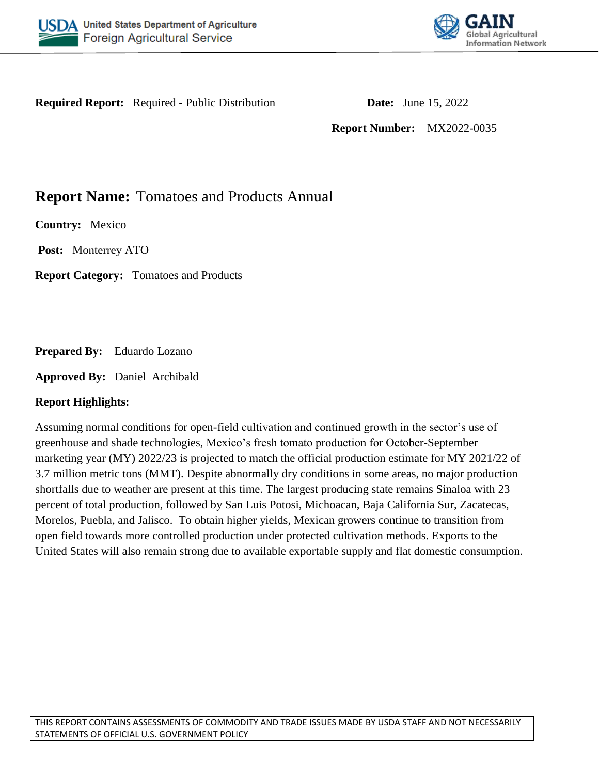



**Required Report:** Required - Public Distribution **Date:** June 15, 2022

**Report Number:** MX2022-0035

# **Report Name:** Tomatoes and Products Annual

**Country:** Mexico

**Post:** Monterrey ATO

**Report Category:** Tomatoes and Products

**Prepared By:** Eduardo Lozano

**Approved By:** Daniel Archibald

### **Report Highlights:**

Assuming normal conditions for open-field cultivation and continued growth in the sector's use of greenhouse and shade technologies, Mexico's fresh tomato production for October-September marketing year (MY) 2022/23 is projected to match the official production estimate for MY 2021/22 of 3.7 million metric tons (MMT). Despite abnormally dry conditions in some areas, no major production shortfalls due to weather are present at this time. The largest producing state remains Sinaloa with 23 percent of total production, followed by San Luis Potosi, Michoacan, Baja California Sur, Zacatecas, Morelos, Puebla, and Jalisco. To obtain higher yields, Mexican growers continue to transition from open field towards more controlled production under protected cultivation methods. Exports to the United States will also remain strong due to available exportable supply and flat domestic consumption.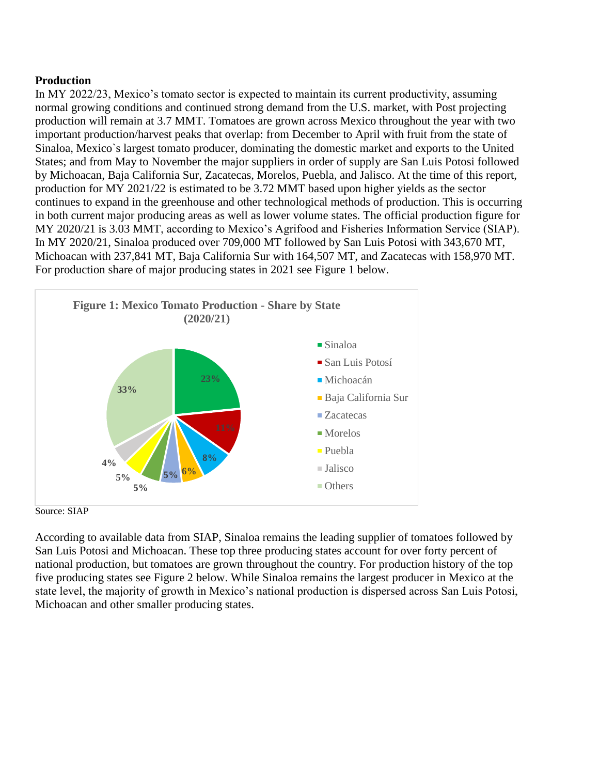## **Production**

In MY 2022/23, Mexico's tomato sector is expected to maintain its current productivity, assuming normal growing conditions and continued strong demand from the U.S. market, with Post projecting production will remain at 3.7 MMT. Tomatoes are grown across Mexico throughout the year with two important production/harvest peaks that overlap: from December to April with fruit from the state of Sinaloa, Mexico`s largest tomato producer, dominating the domestic market and exports to the United States; and from May to November the major suppliers in order of supply are San Luis Potosi followed by Michoacan, Baja California Sur, Zacatecas, Morelos, Puebla, and Jalisco. At the time of this report, production for MY 2021/22 is estimated to be 3.72 MMT based upon higher yields as the sector continues to expand in the greenhouse and other technological methods of production. This is occurring in both current major producing areas as well as lower volume states. The official production figure for MY 2020/21 is 3.03 MMT, according to Mexico's Agrifood and Fisheries Information Service (SIAP). In MY 2020/21, Sinaloa produced over 709,000 MT followed by San Luis Potosi with 343,670 MT, Michoacan with 237,841 MT, Baja California Sur with 164,507 MT, and Zacatecas with 158,970 MT. For production share of major producing states in 2021 see Figure 1 below.



Source: SIAP

According to available data from SIAP, Sinaloa remains the leading supplier of tomatoes followed by San Luis Potosi and Michoacan. These top three producing states account for over forty percent of national production, but tomatoes are grown throughout the country. For production history of the top five producing states see Figure 2 below. While Sinaloa remains the largest producer in Mexico at the state level, the majority of growth in Mexico's national production is dispersed across San Luis Potosi, Michoacan and other smaller producing states.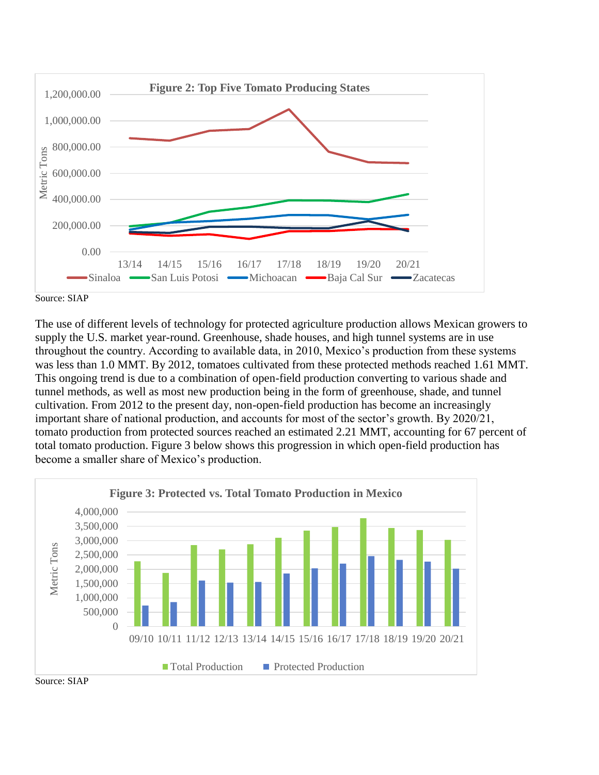

Source: SIAP

The use of different levels of technology for protected agriculture production allows Mexican growers to supply the U.S. market year-round. Greenhouse, shade houses, and high tunnel systems are in use throughout the country. According to available data, in 2010, Mexico's production from these systems was less than 1.0 MMT. By 2012, tomatoes cultivated from these protected methods reached 1.61 MMT. This ongoing trend is due to a combination of open-field production converting to various shade and tunnel methods, as well as most new production being in the form of greenhouse, shade, and tunnel cultivation. From 2012 to the present day, non-open-field production has become an increasingly important share of national production, and accounts for most of the sector's growth. By 2020/21, tomato production from protected sources reached an estimated 2.21 MMT, accounting for 67 percent of total tomato production. Figure 3 below shows this progression in which open-field production has become a smaller share of Mexico's production.



Source: SIAP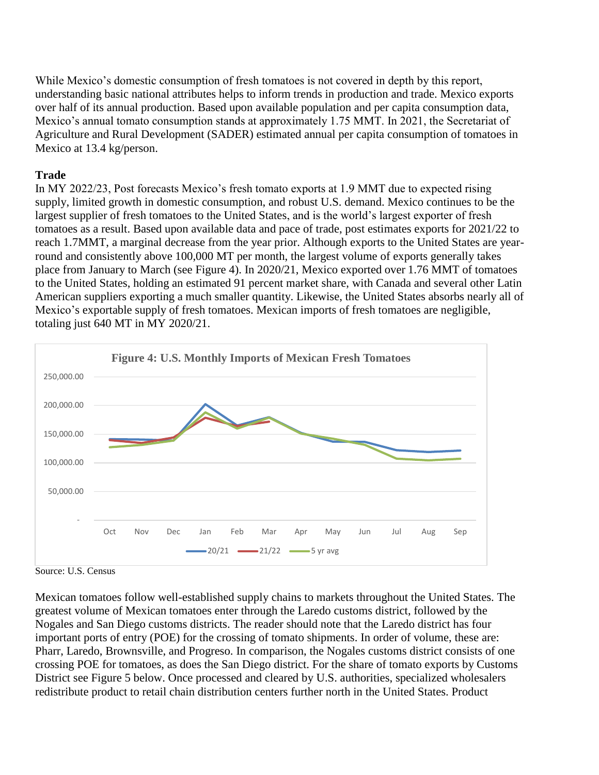While Mexico's domestic consumption of fresh tomatoes is not covered in depth by this report, understanding basic national attributes helps to inform trends in production and trade. Mexico exports over half of its annual production. Based upon available population and per capita consumption data, Mexico's annual tomato consumption stands at approximately 1.75 MMT. In 2021, the Secretariat of Agriculture and Rural Development (SADER) estimated annual per capita consumption of tomatoes in Mexico at 13.4 kg/person.

# **Trade**

In MY 2022/23, Post forecasts Mexico's fresh tomato exports at 1.9 MMT due to expected rising supply, limited growth in domestic consumption, and robust U.S. demand. Mexico continues to be the largest supplier of fresh tomatoes to the United States, and is the world's largest exporter of fresh tomatoes as a result. Based upon available data and pace of trade, post estimates exports for 2021/22 to reach 1.7MMT, a marginal decrease from the year prior. Although exports to the United States are yearround and consistently above 100,000 MT per month, the largest volume of exports generally takes place from January to March (see Figure 4). In 2020/21, Mexico exported over 1.76 MMT of tomatoes to the United States, holding an estimated 91 percent market share, with Canada and several other Latin American suppliers exporting a much smaller quantity. Likewise, the United States absorbs nearly all of Mexico's exportable supply of fresh tomatoes. Mexican imports of fresh tomatoes are negligible, totaling just 640 MT in MY 2020/21.



Source: U.S. Census

Mexican tomatoes follow well-established supply chains to markets throughout the United States. The greatest volume of Mexican tomatoes enter through the Laredo customs district, followed by the Nogales and San Diego customs districts. The reader should note that the Laredo district has four important ports of entry (POE) for the crossing of tomato shipments. In order of volume, these are: Pharr, Laredo, Brownsville, and Progreso. In comparison, the Nogales customs district consists of one crossing POE for tomatoes, as does the San Diego district. For the share of tomato exports by Customs District see Figure 5 below. Once processed and cleared by U.S. authorities, specialized wholesalers redistribute product to retail chain distribution centers further north in the United States. Product